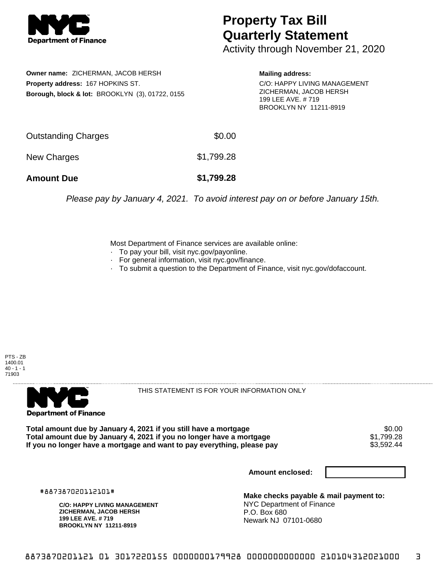

## **Property Tax Bill Quarterly Statement**

Activity through November 21, 2020

**Owner name:** ZICHERMAN, JACOB HERSH **Property address:** 167 HOPKINS ST. **Borough, block & lot:** BROOKLYN (3), 01722, 0155 **Mailing address:**

C/O: HAPPY LIVING MANAGEMENT ZICHERMAN, JACOB HERSH 199 LEE AVE. # 719 BROOKLYN NY 11211-8919

| <b>Amount Due</b>   | \$1,799.28 |
|---------------------|------------|
| New Charges         | \$1,799.28 |
| Outstanding Charges | \$0.00     |

Please pay by January 4, 2021. To avoid interest pay on or before January 15th.

Most Department of Finance services are available online:

- · To pay your bill, visit nyc.gov/payonline.
- For general information, visit nyc.gov/finance.
- · To submit a question to the Department of Finance, visit nyc.gov/dofaccount.

PTS - ZB 1400.01  $40 - 1 - 1$ 71903



THIS STATEMENT IS FOR YOUR INFORMATION ONLY

Total amount due by January 4, 2021 if you still have a mortgage \$0.00<br>Total amount due by January 4, 2021 if you no longer have a mortgage \$1.799.28 **Total amount due by January 4, 2021 if you no longer have a mortgage**  $$1,799.28$$ **<br>If you no longer have a mortgage and want to pay everything, please pay**  $$3,592.44$$ If you no longer have a mortgage and want to pay everything, please pay

**Amount enclosed:**

#887387020112101#

**C/O: HAPPY LIVING MANAGEMENT ZICHERMAN, JACOB HERSH 199 LEE AVE. # 719 BROOKLYN NY 11211-8919**

**Make checks payable & mail payment to:** NYC Department of Finance P.O. Box 680 Newark NJ 07101-0680